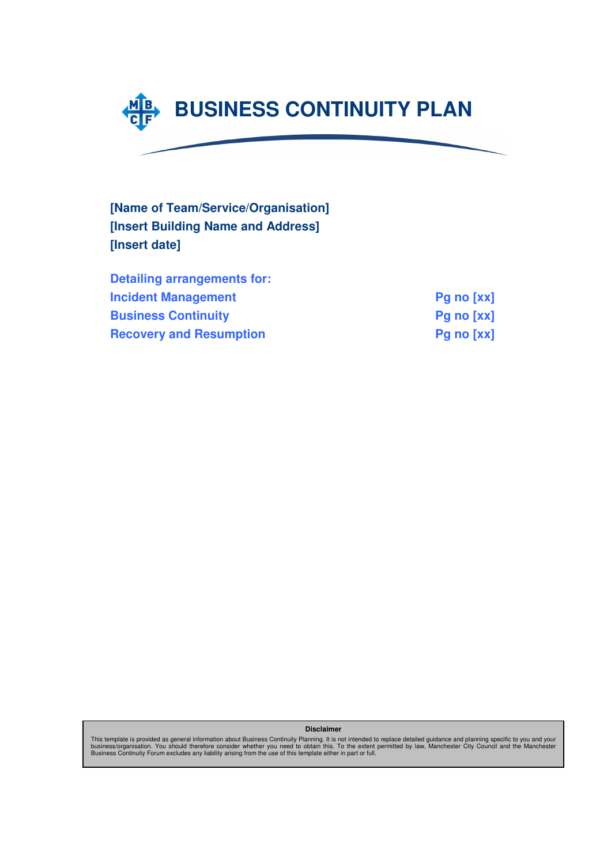

**[Name of Team/Service/Organisation] [Insert Building Name and Address] [Insert date]** 

| <b>Detailing arrangements for:</b> |            |
|------------------------------------|------------|
| <b>Incident Management</b>         | Pg no [xx] |
| <b>Business Continuity</b>         | Pg no [xx] |
| <b>Recovery and Resumption</b>     | Pg no [xx] |

**Disclaimer** 

This template is provided as general information about Business Continuity Planning. It is not intended to replace detailed guidance and planning specific to you and your<br>business/organisation. You should therefore conside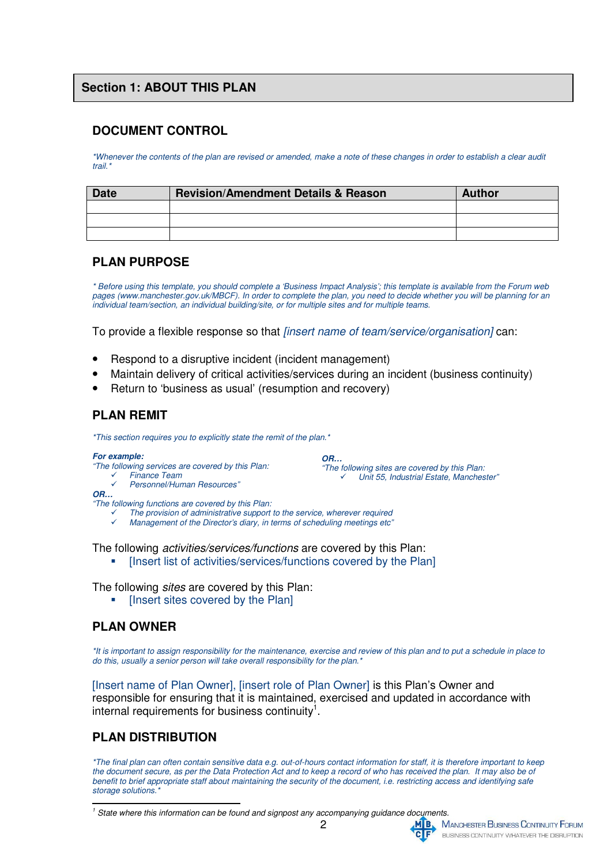#### **DOCUMENT CONTROL**

*\*Whenever the contents of the plan are revised or amended, make a note of these changes in order to establish a clear audit trail.\** 

| <b>Date</b> | <b>Revision/Amendment Details &amp; Reason</b> | <b>Author</b> |
|-------------|------------------------------------------------|---------------|
|             |                                                |               |
|             |                                                |               |
|             |                                                |               |

## **PLAN PURPOSE**

*\* Before using this template, you should complete a 'Business Impact Analysis'; this template is available from the Forum web pages (www.manchester.gov.uk/MBCF). In order to complete the plan, you need to decide whether you will be planning for an individual team/section, an individual building/site, or for multiple sites and for multiple teams.* 

To provide a flexible response so that *[insert name of team/service/organisation]* can:

- Respond to a disruptive incident (incident management)
- Maintain delivery of critical activities/services during an incident (business continuity)
- Return to 'business as usual' (resumption and recovery)

## **PLAN REMIT**

*\*This section requires you to explicitly state the remit of the plan.\** 

#### **For example:** *"The following services are covered by this Plan: Finance Team*

**OR…** 

*"The following sites are covered by this Plan: Unit 55, Industrial Estate, Manchester"* 

**OR…** 

 $\overline{\phantom{a}}$ 

*"The following functions are covered by this Plan:* 

*Personnel/Human Resources"* 

- *The provision of administrative support to the service, wherever required*
- *Management of the Director's diary, in terms of scheduling meetings etc"*

The following *activities/services/functions* are covered by this Plan:

-[Insert list of activities/services/functions covered by the Plan]

The following *sites* are covered by this Plan:

-[Insert sites covered by the Plan]

## **PLAN OWNER**

*\*It is important to assign responsibility for the maintenance, exercise and review of this plan and to put a schedule in place to do this, usually a senior person will take overall responsibility for the plan.\** 

[Insert name of Plan Owner], [insert role of Plan Owner] is this Plan's Owner and responsible for ensuring that it is maintained, exercised and updated in accordance with internal requirements for business continuity<sup>1</sup>.

## **PLAN DISTRIBUTION**

*\*The final plan can often contain sensitive data e.g. out-of-hours contact information for staff, it is therefore important to keep the document secure, as per the Data Protection Act and to keep a record of who has received the plan. It may also be of benefit to brief appropriate staff about maintaining the security of the document, i.e. restricting access and identifying safe storage solutions.\** 

<sup>2</sup> <sup>1</sup> State where this information can be found and signpost any accompanying guidance documents.

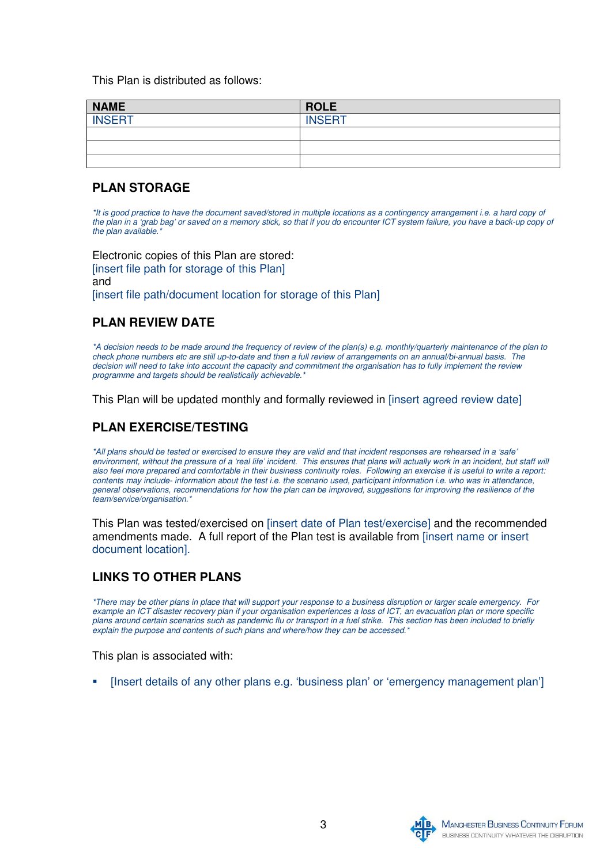This Plan is distributed as follows:

| <b>NAME</b>   | <b>ROLE</b>   |
|---------------|---------------|
| <b>INSERT</b> | <b>INSERT</b> |
|               |               |
|               |               |
|               |               |

#### **PLAN STORAGE**

*\*It is good practice to have the document saved/stored in multiple locations as a contingency arrangement i.e. a hard copy of the plan in a 'grab bag' or saved on a memory stick, so that if you do encounter ICT system failure, you have a back-up copy of the plan available.\** 

Electronic copies of this Plan are stored: [insert file path for storage of this Plan] and [insert file path/document location for storage of this Plan]

# **PLAN REVIEW DATE**

*\*A decision needs to be made around the frequency of review of the plan(s) e.g. monthly/quarterly maintenance of the plan to check phone numbers etc are still up-to-date and then a full review of arrangements on an annual/bi-annual basis. The decision will need to take into account the capacity and commitment the organisation has to fully implement the review programme and targets should be realistically achievable.\**

This Plan will be updated monthly and formally reviewed in [insert agreed review date]

# **PLAN EXERCISE/TESTING**

*\*All plans should be tested or exercised to ensure they are valid and that incident responses are rehearsed in a 'safe'*  environment, without the pressure of a 'real life' incident. This ensures that plans will actually work in an incident, but staff will *also feel more prepared and comfortable in their business continuity roles. Following an exercise it is useful to write a report: contents may include- information about the test i.e. the scenario used, participant information i.e. who was in attendance, general observations, recommendations for how the plan can be improved, suggestions for improving the resilience of the team/service/organisation.\** 

This Plan was tested/exercised on [insert date of Plan test/exercise] and the recommended amendments made. A full report of the Plan test is available from [insert name or insert document location].

## **LINKS TO OTHER PLANS**

*\*There may be other plans in place that will support your response to a business disruption or larger scale emergency. For example an ICT disaster recovery plan if your organisation experiences a loss of ICT, an evacuation plan or more specific plans around certain scenarios such as pandemic flu or transport in a fuel strike. This section has been included to briefly explain the purpose and contents of such plans and where/how they can be accessed.\**

This plan is associated with:

-[Insert details of any other plans e.g. 'business plan' or 'emergency management plan']

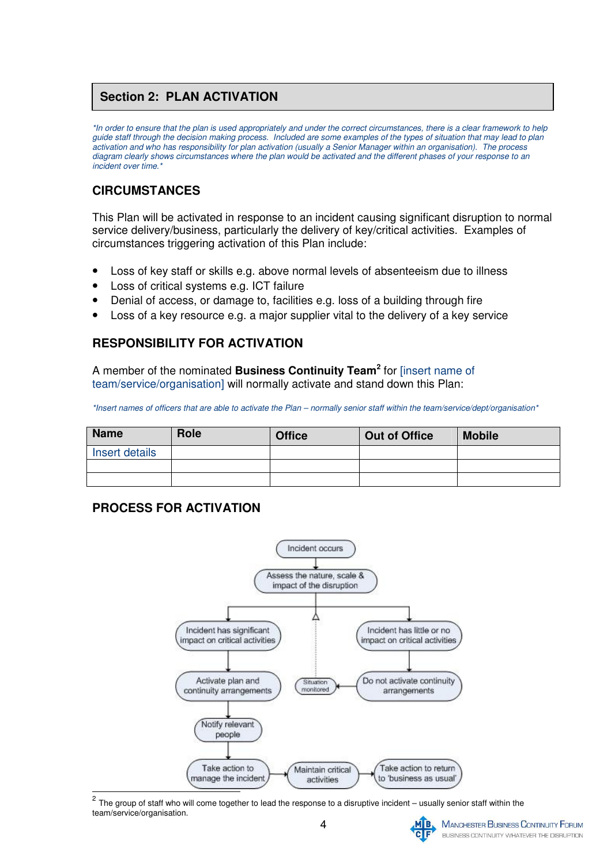#### **Section 2: PLAN ACTIVATION**

*\*In order to ensure that the plan is used appropriately and under the correct circumstances, there is a clear framework to help guide staff through the decision making process. Included are some examples of the types of situation that may lead to plan activation and who has responsibility for plan activation (usually a Senior Manager within an organisation). The process diagram clearly shows circumstances where the plan would be activated and the different phases of your response to an incident over time.\** 

## **CIRCUMSTANCES**

This Plan will be activated in response to an incident causing significant disruption to normal service delivery/business, particularly the delivery of key/critical activities. Examples of circumstances triggering activation of this Plan include:

- Loss of key staff or skills e.g. above normal levels of absenteeism due to illness
- Loss of critical systems e.g. ICT failure
- Denial of access, or damage to, facilities e.g. loss of a building through fire
- Loss of a key resource e.g. a major supplier vital to the delivery of a key service

#### **RESPONSIBILITY FOR ACTIVATION**

A member of the nominated **Business Continuity Team<sup>2</sup>** for [insert name of team/service/organisation] will normally activate and stand down this Plan:

*\*Insert names of officers that are able to activate the Plan – normally senior staff within the team/service/dept/organisation\** 

| <b>Name</b>    | Role | <b>Office</b> | <b>Out of Office</b> | <b>Mobile</b> |
|----------------|------|---------------|----------------------|---------------|
| Insert details |      |               |                      |               |
|                |      |               |                      |               |
|                |      |               |                      |               |

## **PROCESS FOR ACTIVATION**



The group of staff who will come together to lead the response to a disruptive incident – usually senior staff within the team/service/organisation.  $M$  $B$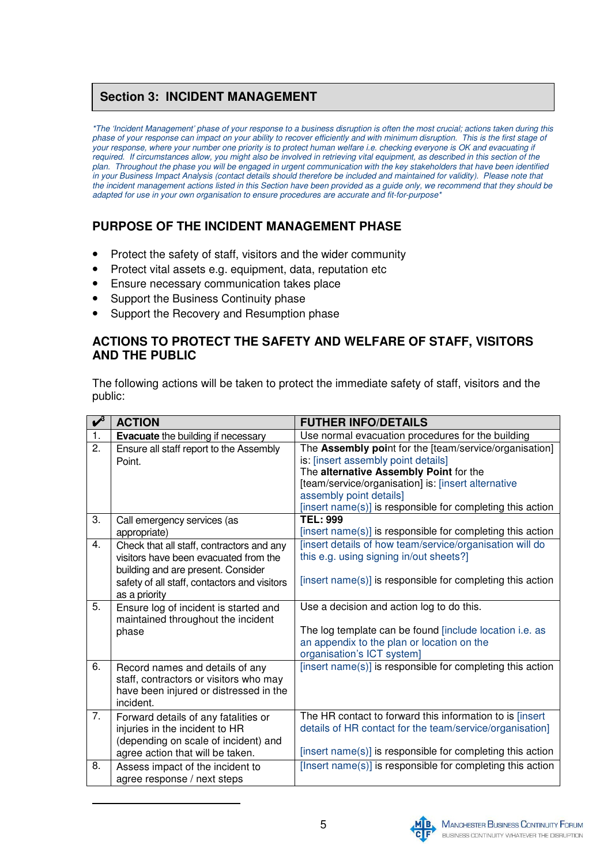## **Section 3: INCIDENT MANAGEMENT**

*\*The 'Incident Management' phase of your response to a business disruption is often the most crucial; actions taken during this phase of your response can impact on your ability to recover efficiently and with minimum disruption. This is the first stage of your response, where your number one priority is to protect human welfare i.e. checking everyone is OK and evacuating if required. If circumstances allow, you might also be involved in retrieving vital equipment, as described in this section of the plan. Throughout the phase you will be engaged in urgent communication with the key stakeholders that have been identified in your Business Impact Analysis (contact details should therefore be included and maintained for validity). Please note that the incident management actions listed in this Section have been provided as a guide only, we recommend that they should be adapted for use in your own organisation to ensure procedures are accurate and fit-for-purpose\** 

## **PURPOSE OF THE INCIDENT MANAGEMENT PHASE**

- Protect the safety of staff, visitors and the wider community
- Protect vital assets e.g. equipment, data, reputation etc
- Ensure necessary communication takes place
- Support the Business Continuity phase

 $\overline{a}$ 

• Support the Recovery and Resumption phase

#### **ACTIONS TO PROTECT THE SAFETY AND WELFARE OF STAFF, VISITORS AND THE PUBLIC**

The following actions will be taken to protect the immediate safety of staff, visitors and the public:

|    | <b>ACTION</b>                                                                                                                                                                             | <b>FUTHER INFO/DETAILS</b>                                                                                                                                                                                                                                                              |
|----|-------------------------------------------------------------------------------------------------------------------------------------------------------------------------------------------|-----------------------------------------------------------------------------------------------------------------------------------------------------------------------------------------------------------------------------------------------------------------------------------------|
| 1. | <b>Evacuate the building if necessary</b>                                                                                                                                                 | Use normal evacuation procedures for the building                                                                                                                                                                                                                                       |
| 2. | Ensure all staff report to the Assembly<br>Point.                                                                                                                                         | The Assembly point for the [team/service/organisation]<br>is: [insert assembly point details]<br>The alternative Assembly Point for the<br>[team/service/organisation] is: [insert alternative<br>assembly point details]<br>[insert name(s)] is responsible for completing this action |
| 3. | Call emergency services (as<br>appropriate)                                                                                                                                               | <b>TEL: 999</b><br>[insert name(s)] is responsible for completing this action                                                                                                                                                                                                           |
| 4. | Check that all staff, contractors and any<br>visitors have been evacuated from the<br>building and are present. Consider<br>safety of all staff, contactors and visitors<br>as a priority | [insert details of how team/service/organisation will do<br>this e.g. using signing in/out sheets?]<br>[insert name(s)] is responsible for completing this action                                                                                                                       |
| 5. | Ensure log of incident is started and<br>maintained throughout the incident<br>phase                                                                                                      | Use a decision and action log to do this.<br>The log template can be found [include location i.e. as<br>an appendix to the plan or location on the<br>organisation's ICT system]                                                                                                        |
| 6. | Record names and details of any<br>staff, contractors or visitors who may<br>have been injured or distressed in the<br>incident.                                                          | [insert name(s)] is responsible for completing this action                                                                                                                                                                                                                              |
| 7. | Forward details of any fatalities or<br>injuries in the incident to HR<br>(depending on scale of incident) and<br>agree action that will be taken.                                        | The HR contact to forward this information to is [insert]<br>details of HR contact for the team/service/organisation]<br>[insert name(s)] is responsible for completing this action                                                                                                     |
| 8. | Assess impact of the incident to<br>agree response / next steps                                                                                                                           | [Insert name(s)] is responsible for completing this action                                                                                                                                                                                                                              |

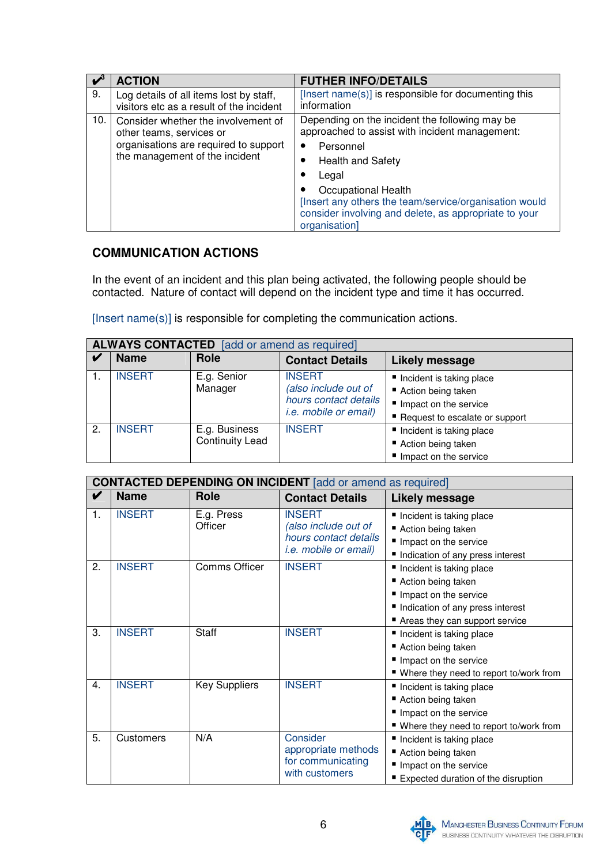|     | <b>ACTION</b>                                                                                                                              | <b>FUTHER INFO/DETAILS</b>                                                                                                                                                                                                                                                                                    |
|-----|--------------------------------------------------------------------------------------------------------------------------------------------|---------------------------------------------------------------------------------------------------------------------------------------------------------------------------------------------------------------------------------------------------------------------------------------------------------------|
| 9.  | Log details of all items lost by staff,<br>visitors etc as a result of the incident                                                        | [Insert name(s)] is responsible for documenting this<br>information                                                                                                                                                                                                                                           |
| 10. | Consider whether the involvement of<br>other teams, services or<br>organisations are required to support<br>the management of the incident | Depending on the incident the following may be<br>approached to assist with incident management:<br>Personnel<br><b>Health and Safety</b><br>Legal<br>Occupational Health<br>[Insert any others the team/service/organisation would<br>consider involving and delete, as appropriate to your<br>organisation] |

## **COMMUNICATION ACTIONS**

In the event of an incident and this plan being activated, the following people should be contacted. Nature of contact will depend on the incident type and time it has occurred.

[Insert name(s)] is responsible for completing the communication actions.

|    | <b>ALWAYS CONTACTED</b> [add or amend as required] |                                         |                                                                                                |                                                                                                               |  |
|----|----------------------------------------------------|-----------------------------------------|------------------------------------------------------------------------------------------------|---------------------------------------------------------------------------------------------------------------|--|
| V  | <b>Name</b>                                        | Role                                    | <b>Contact Details</b>                                                                         | <b>Likely message</b>                                                                                         |  |
|    | <b>INSERT</b>                                      | E.g. Senior<br>Manager                  | <b>INSERT</b><br>(also include out of<br>hours contact details<br><i>i.e.</i> mobile or email) | Incident is taking place<br>■ Action being taken<br>Impact on the service<br>■ Request to escalate or support |  |
| 2. | <b>INSERT</b>                                      | E.g. Business<br><b>Continuity Lead</b> | <b>INSERT</b>                                                                                  | Incident is taking place<br>■ Action being taken<br>Impact on the service                                     |  |

|    | <b>CONTACTED DEPENDING ON INCIDENT</b> [add or amend as required] |                       |                                                                                                |                                                                                                                                                 |
|----|-------------------------------------------------------------------|-----------------------|------------------------------------------------------------------------------------------------|-------------------------------------------------------------------------------------------------------------------------------------------------|
| V  | <b>Name</b>                                                       | Role                  | <b>Contact Details</b>                                                                         | Likely message                                                                                                                                  |
| 1. | <b>INSERT</b>                                                     | E.g. Press<br>Officer | <b>INSERT</b><br>(also include out of<br>hours contact details<br><i>i.e.</i> mobile or email) | Incident is taking place<br>Action being taken<br>Impact on the service<br>Indication of any press interest                                     |
| 2. | <b>INSERT</b>                                                     | Comms Officer         | <b>INSERT</b>                                                                                  | Incident is taking place<br>■ Action being taken<br>Impact on the service<br>Indication of any press interest<br>Areas they can support service |
| 3. | <b>INSERT</b>                                                     | <b>Staff</b>          | <b>INSERT</b>                                                                                  | Incident is taking place<br>Action being taken<br>Impact on the service<br>■ Where they need to report to/work from                             |
| 4. | <b>INSERT</b>                                                     | <b>Key Suppliers</b>  | <b>INSERT</b>                                                                                  | Incident is taking place<br>Action being taken<br>Impact on the service<br>■ Where they need to report to/work from                             |
| 5. | Customers                                                         | N/A                   | Consider<br>appropriate methods<br>for communicating<br>with customers                         | Incident is taking place<br>Action being taken<br>Impact on the service<br>■ Expected duration of the disruption                                |

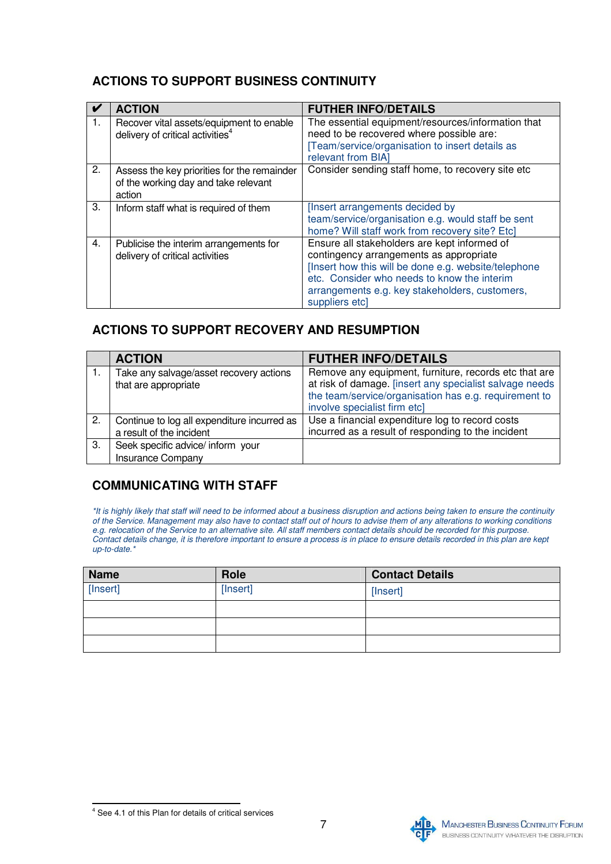# **ACTIONS TO SUPPORT BUSINESS CONTINUITY**

|    | <b>ACTION</b>                                                                                 | <b>FUTHER INFO/DETAILS</b>                                                                                                                                                                                                                                         |
|----|-----------------------------------------------------------------------------------------------|--------------------------------------------------------------------------------------------------------------------------------------------------------------------------------------------------------------------------------------------------------------------|
|    | Recover vital assets/equipment to enable<br>delivery of critical activities <sup>4</sup>      | The essential equipment/resources/information that<br>need to be recovered where possible are:<br>[Team/service/organisation to insert details as<br>relevant from BIA]                                                                                            |
| 2. | Assess the key priorities for the remainder<br>of the working day and take relevant<br>action | Consider sending staff home, to recovery site etc                                                                                                                                                                                                                  |
| З. | Inform staff what is required of them                                                         | [Insert arrangements decided by<br>team/service/organisation e.g. would staff be sent<br>home? Will staff work from recovery site? Etc]                                                                                                                            |
| 4. | Publicise the interim arrangements for<br>delivery of critical activities                     | Ensure all stakeholders are kept informed of<br>contingency arrangements as appropriate<br>[Insert how this will be done e.g. website/telephone<br>etc. Consider who needs to know the interim<br>arrangements e.g. key stakeholders, customers,<br>suppliers etcl |

## **ACTIONS TO SUPPORT RECOVERY AND RESUMPTION**

|    | <b>ACTION</b>                                                           | <b>FUTHER INFO/DETAILS</b>                                                                                                                                                                                |
|----|-------------------------------------------------------------------------|-----------------------------------------------------------------------------------------------------------------------------------------------------------------------------------------------------------|
|    | Take any salvage/asset recovery actions<br>that are appropriate         | Remove any equipment, furniture, records etc that are<br>at risk of damage. [insert any specialist salvage needs<br>the team/service/organisation has e.g. requirement to<br>involve specialist firm etc] |
| 2. | Continue to log all expenditure incurred as<br>a result of the incident | Use a financial expenditure log to record costs<br>incurred as a result of responding to the incident                                                                                                     |
| 3. | Seek specific advice/ inform your<br><b>Insurance Company</b>           |                                                                                                                                                                                                           |

# **COMMUNICATING WITH STAFF**

*\*It is highly likely that staff will need to be informed about a business disruption and actions being taken to ensure the continuity of the Service. Management may also have to contact staff out of hours to advise them of any alterations to working conditions e.g. relocation of the Service to an alternative site. All staff members contact details should be recorded for this purpose. Contact details change, it is therefore important to ensure a process is in place to ensure details recorded in this plan are kept up-to-date.\** 

| <b>Name</b> | Role     | <b>Contact Details</b> |
|-------------|----------|------------------------|
| [Insert]    | [Insert] | [Insert]               |
|             |          |                        |
|             |          |                        |
|             |          |                        |



 4 See 4.1 of this Plan for details of critical services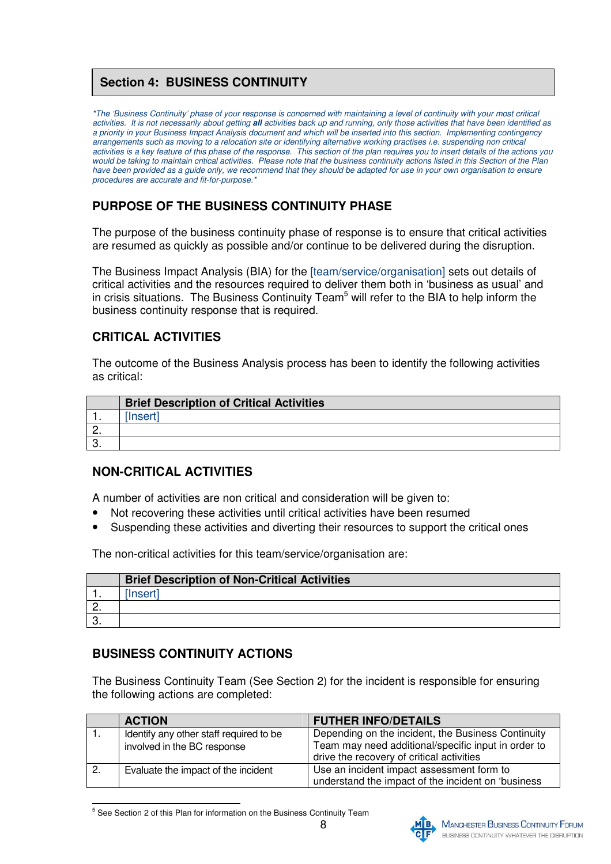# **Section 4: BUSINESS CONTINUITY**

*\*The 'Business Continuity' phase of your response is concerned with maintaining a level of continuity with your most critical activities. It is not necessarily about getting* **all** *activities back up and running, only those activities that have been identified as a priority in your Business Impact Analysis document and which will be inserted into this section. Implementing contingency arrangements such as moving to a relocation site or identifying alternative working practises i.e. suspending non critical activities is a key feature of this phase of the response. This section of the plan requires you to insert details of the actions you would be taking to maintain critical activities. Please note that the business continuity actions listed in this Section of the Plan*  have been provided as a guide only, we recommend that they should be adapted for use in your own organisation to ensure *procedures are accurate and fit-for-purpose.\** 

## **PURPOSE OF THE BUSINESS CONTINUITY PHASE**

The purpose of the business continuity phase of response is to ensure that critical activities are resumed as quickly as possible and/or continue to be delivered during the disruption.

The Business Impact Analysis (BIA) for the [team/service/organisation] sets out details of critical activities and the resources required to deliver them both in 'business as usual' and in crisis situations. The Business Continuity Team<sup>5</sup> will refer to the BIA to help inform the business continuity response that is required.

## **CRITICAL ACTIVITIES**

The outcome of the Business Analysis process has been to identify the following activities as critical:

| <b>Brief Description of Critical Activities</b> |
|-------------------------------------------------|
|                                                 |
|                                                 |
|                                                 |

#### **NON-CRITICAL ACTIVITIES**

A number of activities are non critical and consideration will be given to:

- Not recovering these activities until critical activities have been resumed
- Suspending these activities and diverting their resources to support the critical ones

The non-critical activities for this team/service/organisation are:

| <b>Brief Description of Non-Critical Activities</b> |
|-----------------------------------------------------|
| unser <sup>+</sup>                                  |
|                                                     |
|                                                     |

## **BUSINESS CONTINUITY ACTIONS**

The Business Continuity Team (See Section 2) for the incident is responsible for ensuring the following actions are completed:

|    | <b>ACTION</b>                           | <b>FUTHER INFO/DETAILS</b>                                                                       |
|----|-----------------------------------------|--------------------------------------------------------------------------------------------------|
| ι. | Identify any other staff required to be | Depending on the incident, the Business Continuity                                               |
|    | involved in the BC response             | Team may need additional/specific input in order to<br>drive the recovery of critical activities |
|    | Evaluate the impact of the incident     | Use an incident impact assessment form to<br>understand the impact of the incident on 'business  |

 5 See Section 2 of this Plan for information on the Business Continuity Team

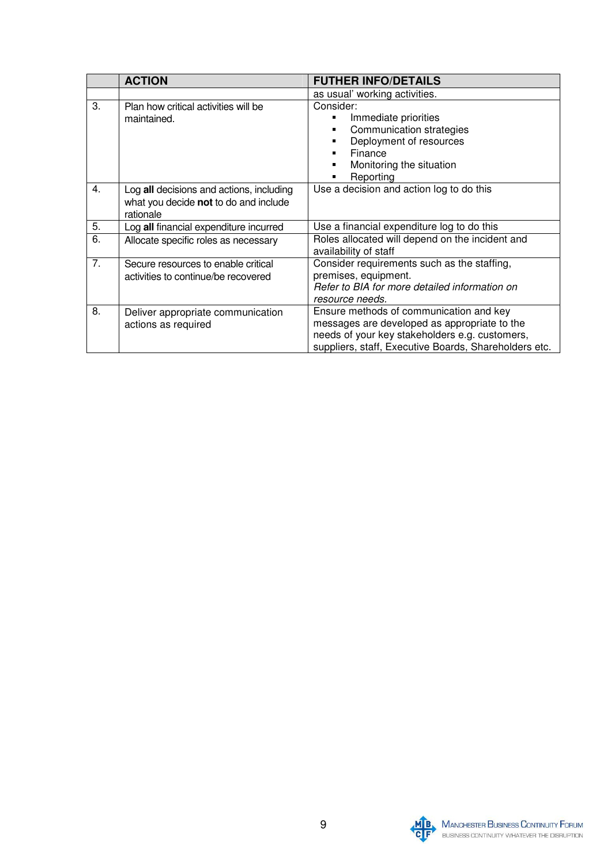|    | <b>ACTION</b>                                                                                  | <b>FUTHER INFO/DETAILS</b>                                                                                                                                                                         |
|----|------------------------------------------------------------------------------------------------|----------------------------------------------------------------------------------------------------------------------------------------------------------------------------------------------------|
|    |                                                                                                | as usual' working activities.                                                                                                                                                                      |
| 3. | Plan how critical activities will be<br>maintained.                                            | Consider:<br>Immediate priorities<br>Communication strategies<br>Deployment of resources<br>Finance<br>Monitoring the situation<br>٠<br>Reporting                                                  |
| 4. | Log all decisions and actions, including<br>what you decide not to do and include<br>rationale | Use a decision and action log to do this                                                                                                                                                           |
| 5. | Log all financial expenditure incurred                                                         | Use a financial expenditure log to do this                                                                                                                                                         |
| 6. | Allocate specific roles as necessary                                                           | Roles allocated will depend on the incident and<br>availability of staff                                                                                                                           |
| 7. | Secure resources to enable critical<br>activities to continue/be recovered                     | Consider requirements such as the staffing,<br>premises, equipment.<br>Refer to BIA for more detailed information on<br>resource needs.                                                            |
| 8. | Deliver appropriate communication<br>actions as required                                       | Ensure methods of communication and key<br>messages are developed as appropriate to the<br>needs of your key stakeholders e.g. customers,<br>suppliers, staff, Executive Boards, Shareholders etc. |